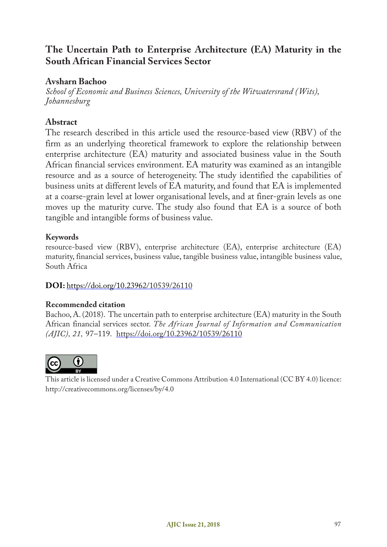# **The Uncertain Path to Enterprise Architecture (EA) Maturity in the South African Financial Services Sector**

#### **Avsharn Bachoo**

*School of Economic and Business Sciences, University of the Witwatersrand (Wits), Johannesburg*

## **Abstract**

The research described in this article used the resource-based view (RBV) of the firm as an underlying theoretical framework to explore the relationship between enterprise architecture (EA) maturity and associated business value in the South African financial services environment. EA maturity was examined as an intangible resource and as a source of heterogeneity. The study identified the capabilities of business units at different levels of EA maturity, and found that EA is implemented at a coarse-grain level at lower organisational levels, and at finer-grain levels as one moves up the maturity curve. The study also found that EA is a source of both tangible and intangible forms of business value.

#### **Keywords**

resource-based view (RBV), enterprise architecture (EA), enterprise architecture (EA) maturity, financial services, business value, tangible business value, intangible business value, South Africa

#### **DOI:** https://doi.org/10.23962/10539/26110

#### **Recommended citation**

Bachoo, A. (2018). The uncertain path to enterprise architecture (EA) maturity in the South African financial services sector. *The African Journal of Information and Communication (AJIC), 21,* 97–119. https://doi.org/10.23962/10539/26110



This article is licensed under a Creative Commons Attribution 4.0 International (CC BY 4.0) licence: http://creativecommons.org/licenses/by/4.0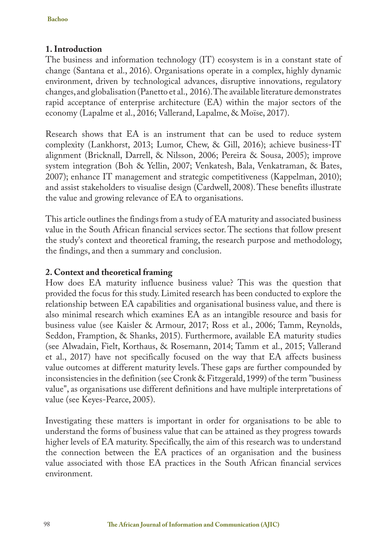# **1. Introduction**

The business and information technology (IT) ecosystem is in a constant state of change (Santana et al., 2016). Organisations operate in a complex, highly dynamic environment, driven by technological advances, disruptive innovations, regulatory changes, and globalisation (Panetto et al., 2016). The available literature demonstrates rapid acceptance of enterprise architecture (EA) within the major sectors of the economy (Lapalme et al., 2016; Vallerand, Lapalme, & Moïse, 2017).

Research shows that EA is an instrument that can be used to reduce system complexity (Lankhorst, 2013; Lumor, Chew, & Gill, 2016); achieve business-IT alignment (Bricknall, Darrell, & Nilsson, 2006; Pereira & Sousa, 2005); improve system integration (Boh & Yellin, 2007; Venkatesh, Bala, Venkatraman, & Bates, 2007); enhance IT management and strategic competitiveness (Kappelman, 2010); and assist stakeholders to visualise design (Cardwell, 2008). These benefits illustrate the value and growing relevance of EA to organisations.

This article outlines the findings from a study of EA maturity and associated business value in the South African financial services sector. The sections that follow present the study's context and theoretical framing, the research purpose and methodology, the findings, and then a summary and conclusion.

## **2. Context and theoretical framing**

How does EA maturity influence business value? This was the question that provided the focus for this study. Limited research has been conducted to explore the relationship between EA capabilities and organisational business value, and there is also minimal research which examines EA as an intangible resource and basis for business value (see Kaisler & Armour, 2017; Ross et al., 2006; Tamm, Reynolds, Seddon, Framption, & Shanks, 2015). Furthermore, available EA maturity studies (see Alwadain, Fielt, Korthaus, & Rosemann, 2014; Tamm et al., 2015; Vallerand et al., 2017) have not specifically focused on the way that EA affects business value outcomes at different maturity levels. These gaps are further compounded by inconsistencies in the definition (see Cronk & Fitzgerald, 1999) of the term "business value", as organisations use different definitions and have multiple interpretations of value (see Keyes-Pearce, 2005).

Investigating these matters is important in order for organisations to be able to understand the forms of business value that can be attained as they progress towards higher levels of EA maturity. Specifically, the aim of this research was to understand the connection between the EA practices of an organisation and the business value associated with those EA practices in the South African financial services environment.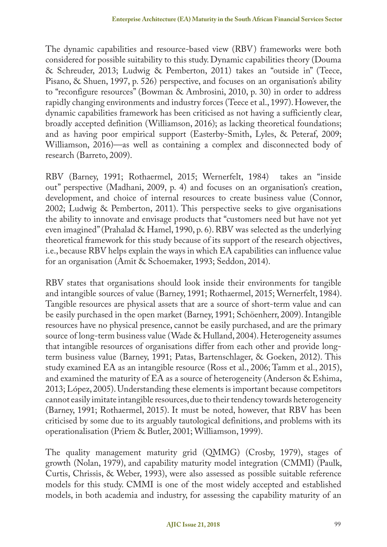The dynamic capabilities and resource-based view (RBV) frameworks were both considered for possible suitability to this study. Dynamic capabilities theory (Douma & Schreuder, 2013; Ludwig & Pemberton, 2011) takes an "outside in" (Teece, Pisano, & Shuen, 1997, p. 526) perspective, and focuses on an organisation's ability to "reconfigure resources" (Bowman & Ambrosini, 2010, p. 30) in order to address rapidly changing environments and industry forces (Teece et al., 1997). However, the dynamic capabilities framework has been criticised as not having a sufficiently clear, broadly accepted definition (Williamson, 2016); as lacking theoretical foundations; and as having poor empirical support (Easterby-Smith, Lyles, & Peteraf, 2009; Williamson, 2016)—as well as containing a complex and disconnected body of research (Barreto, 2009).

RBV (Barney, 1991; Rothaermel, 2015; Wernerfelt, 1984) takes an "inside out" perspective (Madhani, 2009, p. 4) and focuses on an organisation's creation, development, and choice of internal resources to create business value (Connor, 2002; Ludwig & Pemberton, 2011). This perspective seeks to give organisations the ability to innovate and envisage products that "customers need but have not yet even imagined" (Prahalad & Hamel, 1990, p. 6). RBV was selected as the underlying theoretical framework for this study because of its support of the research objectives, i.e., because RBV helps explain the ways in which EA capabilities can influence value for an organisation (Amit & Schoemaker, 1993; Seddon, 2014).

RBV states that organisations should look inside their environments for tangible and intangible sources of value (Barney, 1991; Rothaermel, 2015; Wernerfelt, 1984). Tangible resources are physical assets that are a source of short-term value and can be easily purchased in the open market (Barney, 1991; Schöenherr, 2009). Intangible resources have no physical presence, cannot be easily purchased, and are the primary source of long-term business value (Wade & Hulland, 2004). Heterogeneity assumes that intangible resources of organisations differ from each other and provide longterm business value (Barney, 1991; Patas, Bartenschlager, & Goeken, 2012). This study examined EA as an intangible resource (Ross et al., 2006; Tamm et al., 2015), and examined the maturity of EA as a source of heterogeneity (Anderson & Eshima, 2013; López, 2005). Understanding these elements is important because competitors cannot easily imitate intangible resources, due to their tendency towards heterogeneity (Barney, 1991; Rothaermel, 2015). It must be noted, however, that RBV has been criticised by some due to its arguably tautological definitions, and problems with its operationalisation (Priem & Butler, 2001; Williamson, 1999).

The quality management maturity grid (QMMG) (Crosby, 1979), stages of growth (Nolan, 1979), and capability maturity model integration (CMMI) (Paulk, Curtis, Chrissis, & Weber, 1993), were also assessed as possible suitable reference models for this study. CMMI is one of the most widely accepted and established models, in both academia and industry, for assessing the capability maturity of an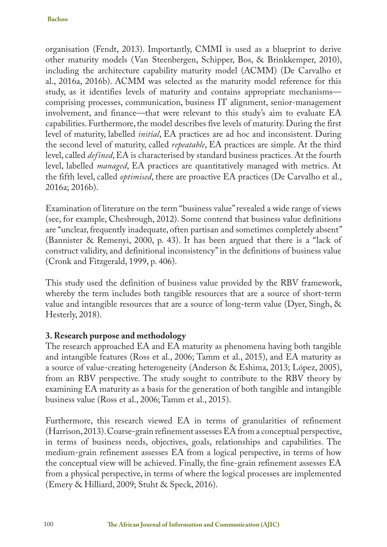organisation (Fendt, 2013). Importantly, CMMI is used as a blueprint to derive other maturity models (Van Steenbergen, Schipper, Bos, & Brinkkemper, 2010), including the architecture capability maturity model (ACMM) (De Carvalho et al., 2016a, 2016b). ACMM was selected as the maturity model reference for this study, as it identifies levels of maturity and contains appropriate mechanisms comprising processes, communication, business IT alignment, senior-management involvement, and finance—that were relevant to this study's aim to evaluate EA capabilities. Furthermore, the model describes five levels of maturity. During the first level of maturity, labelled *initial*, EA practices are ad hoc and inconsistent. During the second level of maturity, called *repeatable*, EA practices are simple. At the third level, called *defined*, EA is characterised by standard business practices. At the fourth level, labelled *managed*, EA practices are quantitatively managed with metrics. At the fifth level, called *optimised*, there are proactive EA practices (De Carvalho et al., 2016a; 2016b).

Examination of literature on the term "business value" revealed a wide range of views (see, for example, Chesbrough, 2012). Some contend that business value definitions are "unclear, frequently inadequate, often partisan and sometimes completely absent" (Bannister & Remenyi, 2000, p. 43). It has been argued that there is a "lack of construct validity, and definitional inconsistency" in the definitions of business value (Cronk and Fitzgerald, 1999, p. 406).

This study used the definition of business value provided by the RBV framework, whereby the term includes both tangible resources that are a source of short-term value and intangible resources that are a source of long-term value (Dyer, Singh, & Hesterly, 2018).

## **3. Research purpose and methodology**

The research approached EA and EA maturity as phenomena having both tangible and intangible features (Ross et al., 2006; Tamm et al., 2015), and EA maturity as a source of value-creating heterogeneity (Anderson & Eshima, 2013; López, 2005), from an RBV perspective. The study sought to contribute to the RBV theory by examining EA maturity as a basis for the generation of both tangible and intangible business value (Ross et al., 2006; Tamm et al., 2015).

Furthermore, this research viewed EA in terms of granularities of refinement (Harrison, 2013). Coarse-grain refinement assesses EA from a conceptual perspective, in terms of business needs, objectives, goals, relationships and capabilities. The medium-grain refinement assesses EA from a logical perspective, in terms of how the conceptual view will be achieved. Finally, the fine-grain refinement assesses EA from a physical perspective, in terms of where the logical processes are implemented (Emery & Hilliard, 2009; Stuht & Speck, 2016).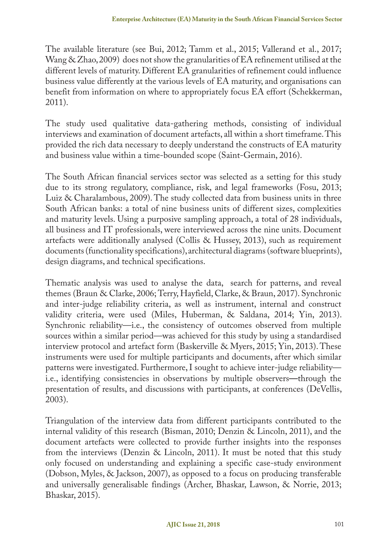The available literature (see Bui, 2012; Tamm et al., 2015; Vallerand et al., 2017; Wang & Zhao, 2009) does not show the granularities of EA refinement utilised at the different levels of maturity. Different EA granularities of refinement could influence business value differently at the various levels of EA maturity, and organisations can benefit from information on where to appropriately focus EA effort (Schekkerman, 2011).

The study used qualitative data-gathering methods, consisting of individual interviews and examination of document artefacts, all within a short timeframe. This provided the rich data necessary to deeply understand the constructs of EA maturity and business value within a time-bounded scope (Saint-Germain, 2016).

The South African financial services sector was selected as a setting for this study due to its strong regulatory, compliance, risk, and legal frameworks (Fosu, 2013; Luiz & Charalambous, 2009). The study collected data from business units in three South African banks: a total of nine business units of different sizes, complexities and maturity levels. Using a purposive sampling approach, a total of 28 individuals, all business and IT professionals, were interviewed across the nine units. Document artefacts were additionally analysed (Collis & Hussey, 2013), such as requirement documents (functionality specifications), architectural diagrams (software blueprints), design diagrams, and technical specifications.

Thematic analysis was used to analyse the data, search for patterns, and reveal themes (Braun & Clarke, 2006; Terry, Hayfield, Clarke, & Braun, 2017). Synchronic and inter-judge reliability criteria, as well as instrument, internal and construct validity criteria, were used (Miles, Huberman, & Saldana, 2014; Yin, 2013). Synchronic reliability—i.e., the consistency of outcomes observed from multiple sources within a similar period—was achieved for this study by using a standardised interview protocol and artefact form (Baskerville & Myers, 2015; Yin, 2013). These instruments were used for multiple participants and documents, after which similar patterns were investigated. Furthermore, I sought to achieve inter-judge reliability i.e., identifying consistencies in observations by multiple observers**—**through the presentation of results, and discussions with participants, at conferences (DeVellis, 2003).

Triangulation of the interview data from different participants contributed to the internal validity of this research (Bisman, 2010; Denzin & Lincoln, 2011), and the document artefacts were collected to provide further insights into the responses from the interviews (Denzin & Lincoln, 2011). It must be noted that this study only focused on understanding and explaining a specific case-study environment (Dobson, Myles, & Jackson, 2007), as opposed to a focus on producing transferable and universally generalisable findings (Archer, Bhaskar, Lawson, & Norrie, 2013; Bhaskar, 2015).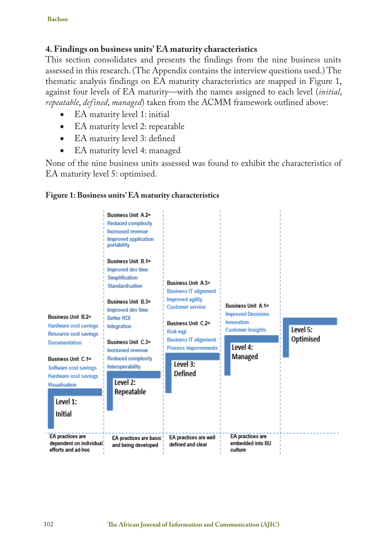## **4. Findings on business units' EA maturity characteristics**

This section consolidates and presents the findings from the nine business units assessed in this research. (The Appendix contains the interview questions used.) The thematic analysis findings on EA maturity characteristics are mapped in Figure 1, against four levels of EA maturity—with the names assigned to each level (*initial*, *repeatable*, *defined*, *managed*) taken from the ACMM framework outlined above:

- EA maturity level 1: initial
- EA maturity level 2: repeatable
- EA maturity level 3: defined
- EA maturity level 4: managed

None of the nine business units assessed was found to exhibit the characteristics of EA maturity level 5: optimised.



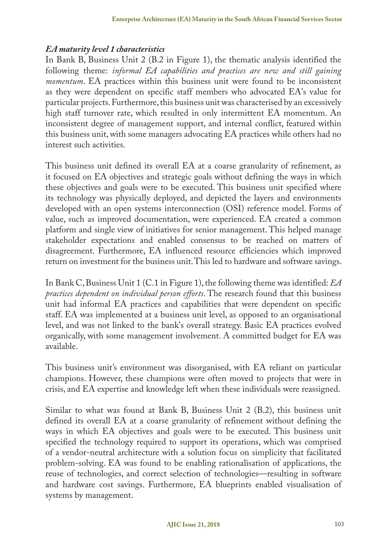#### *EA maturity level 1 characteristics*

In Bank B, Business Unit 2 (B.2 in Figure 1), the thematic analysis identified the following theme: *informal EA capabilities and practices are new and still gaining momentum*. EA practices within this business unit were found to be inconsistent as they were dependent on specific staff members who advocated EA's value for particular projects. Furthermore, this business unit was characterised by an excessively high staff turnover rate, which resulted in only intermittent EA momentum. An inconsistent degree of management support, and internal conflict, featured within this business unit, with some managers advocating EA practices while others had no interest such activities.

This business unit defined its overall EA at a coarse granularity of refinement, as it focused on EA objectives and strategic goals without defining the ways in which these objectives and goals were to be executed. This business unit specified where its technology was physically deployed, and depicted the layers and environments developed with an open systems interconnection (OSI) reference model. Forms of value, such as improved documentation, were experienced. EA created a common platform and single view of initiatives for senior management. This helped manage stakeholder expectations and enabled consensus to be reached on matters of disagreement. Furthermore, EA influenced resource efficiencies which improved return on investment for the business unit. This led to hardware and software savings.

In Bank C, Business Unit 1 (C.1 in Figure 1), the following theme was identified: *EA practices dependent on individual person efforts*. The research found that this business unit had informal EA practices and capabilities that were dependent on specific staff. EA was implemented at a business unit level, as opposed to an organisational level, and was not linked to the bank's overall strategy. Basic EA practices evolved organically, with some management involvement. A committed budget for EA was available.

This business unit's environment was disorganised, with EA reliant on particular champions. However, these champions were often moved to projects that were in crisis, and EA expertise and knowledge left when these individuals were reassigned.

Similar to what was found at Bank B, Business Unit 2 (B.2), this business unit defined its overall EA at a coarse granularity of refinement without defining the ways in which EA objectives and goals were to be executed. This business unit specified the technology required to support its operations, which was comprised of a vendor-neutral architecture with a solution focus on simplicity that facilitated problem-solving. EA was found to be enabling rationalisation of applications, the reuse of technologies, and correct selection of technologies—resulting in software and hardware cost savings. Furthermore, EA blueprints enabled visualisation of systems by management.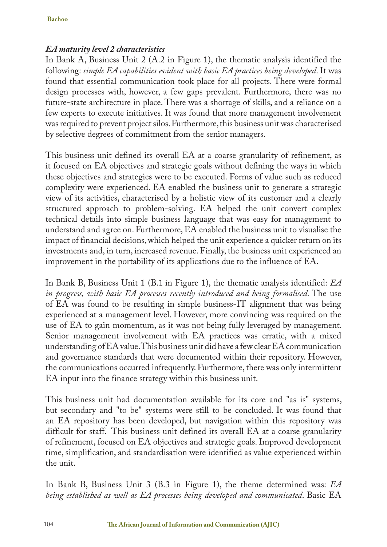## *EA maturity level 2 characteristics*

In Bank A, Business Unit 2 (A.2 in Figure 1), the thematic analysis identified the following: *simple EA capabilities evident with basic EA practices being developed*. It was found that essential communication took place for all projects. There were formal design processes with, however, a few gaps prevalent. Furthermore, there was no future-state architecture in place. There was a shortage of skills, and a reliance on a few experts to execute initiatives. It was found that more management involvement was required to prevent project silos. Furthermore, this business unit was characterised by selective degrees of commitment from the senior managers.

This business unit defined its overall EA at a coarse granularity of refinement, as it focused on EA objectives and strategic goals without defining the ways in which these objectives and strategies were to be executed. Forms of value such as reduced complexity were experienced. EA enabled the business unit to generate a strategic view of its activities, characterised by a holistic view of its customer and a clearly structured approach to problem-solving. EA helped the unit convert complex technical details into simple business language that was easy for management to understand and agree on. Furthermore, EA enabled the business unit to visualise the impact of financial decisions, which helped the unit experience a quicker return on its investments and, in turn, increased revenue. Finally, the business unit experienced an improvement in the portability of its applications due to the influence of EA.

In Bank B, Business Unit 1 (B.1 in Figure 1), the thematic analysis identified: *EA in progress, with basic EA processes recently introduced and being formalised*. The use of EA was found to be resulting in simple business-IT alignment that was being experienced at a management level. However, more convincing was required on the use of EA to gain momentum, as it was not being fully leveraged by management. Senior management involvement with EA practices was erratic, with a mixed understanding of EA value. This business unit did have a few clear EA communication and governance standards that were documented within their repository. However, the communications occurred infrequently. Furthermore, there was only intermittent EA input into the finance strategy within this business unit.

This business unit had documentation available for its core and "as is" systems, but secondary and "to be" systems were still to be concluded. It was found that an EA repository has been developed, but navigation within this repository was difficult for staff. This business unit defined its overall EA at a coarse granularity of refinement, focused on EA objectives and strategic goals. Improved development time, simplification, and standardisation were identified as value experienced within the unit.

In Bank B, Business Unit 3 (B.3 in Figure 1), the theme determined was: *EA being established as well as EA processes being developed and communicated*. Basic EA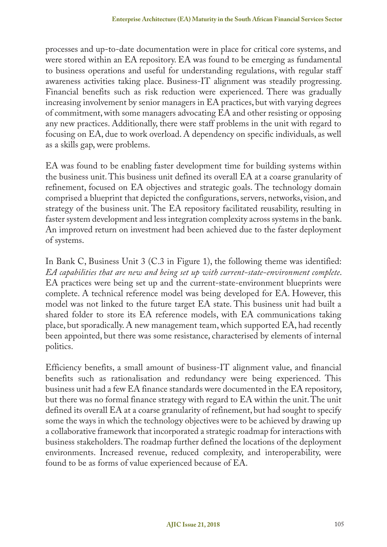processes and up-to-date documentation were in place for critical core systems, and were stored within an EA repository. EA was found to be emerging as fundamental to business operations and useful for understanding regulations, with regular staff awareness activities taking place. Business-IT alignment was steadily progressing. Financial benefits such as risk reduction were experienced. There was gradually increasing involvement by senior managers in EA practices, but with varying degrees of commitment, with some managers advocating EA and other resisting or opposing any new practices. Additionally, there were staff problems in the unit with regard to focusing on EA, due to work overload. A dependency on specific individuals, as well as a skills gap, were problems.

EA was found to be enabling faster development time for building systems within the business unit. This business unit defined its overall EA at a coarse granularity of refinement, focused on EA objectives and strategic goals. The technology domain comprised a blueprint that depicted the configurations, servers, networks, vision, and strategy of the business unit. The EA repository facilitated reusability, resulting in faster system development and less integration complexity across systems in the bank. An improved return on investment had been achieved due to the faster deployment of systems.

In Bank C, Business Unit 3 (C.3 in Figure 1), the following theme was identified: *EA capabilities that are new and being set up with current-state-environment complete*. EA practices were being set up and the current-state-environment blueprints were complete. A technical reference model was being developed for EA. However, this model was not linked to the future target EA state. This business unit had built a shared folder to store its EA reference models, with EA communications taking place, but sporadically. A new management team, which supported EA, had recently been appointed, but there was some resistance, characterised by elements of internal politics.

Efficiency benefits, a small amount of business-IT alignment value, and financial benefits such as rationalisation and redundancy were being experienced. This business unit had a few EA finance standards were documented in the EA repository, but there was no formal finance strategy with regard to EA within the unit. The unit defined its overall EA at a coarse granularity of refinement, but had sought to specify some the ways in which the technology objectives were to be achieved by drawing up a collaborative framework that incorporated a strategic roadmap for interactions with business stakeholders. The roadmap further defined the locations of the deployment environments. Increased revenue, reduced complexity, and interoperability, were found to be as forms of value experienced because of EA.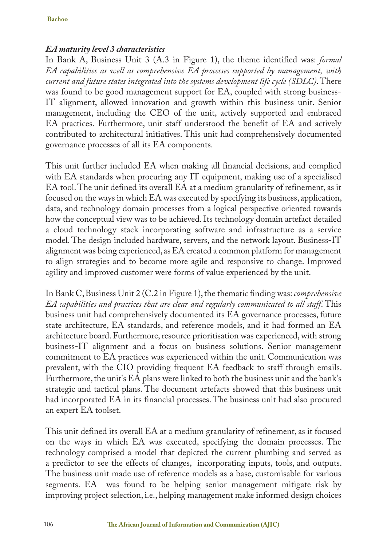#### *EA maturity level 3 characteristics*

In Bank A, Business Unit 3 (A.3 in Figure 1), the theme identified was: *formal EA capabilities as well as comprehensive EA processes supported by management, with current and future states integrated into the systems development life cycle (SDLC)*. There was found to be good management support for EA, coupled with strong business-IT alignment, allowed innovation and growth within this business unit. Senior management, including the CEO of the unit, actively supported and embraced EA practices. Furthermore, unit staff understood the benefit of EA and actively contributed to architectural initiatives. This unit had comprehensively documented governance processes of all its EA components.

This unit further included EA when making all financial decisions, and complied with EA standards when procuring any IT equipment, making use of a specialised EA tool. The unit defined its overall EA at a medium granularity of refinement, as it focused on the ways in which EA was executed by specifying its business, application, data, and technology domain processes from a logical perspective oriented towards how the conceptual view was to be achieved. Its technology domain artefact detailed a cloud technology stack incorporating software and infrastructure as a service model. The design included hardware, servers, and the network layout. Business-IT alignment was being experienced, as EA created a common platform for management to align strategies and to become more agile and responsive to change. Improved agility and improved customer were forms of value experienced by the unit.

In Bank C, Business Unit 2 (C.2 in Figure 1), the thematic finding was: *comprehensive EA capabilities and practices that are clear and regularly communicated to all staff*. This business unit had comprehensively documented its EA governance processes, future state architecture, EA standards, and reference models, and it had formed an EA architecture board. Furthermore, resource prioritisation was experienced, with strong business-IT alignment and a focus on business solutions. Senior management commitment to EA practices was experienced within the unit. Communication was prevalent, with the CIO providing frequent EA feedback to staff through emails. Furthermore, the unit's EA plans were linked to both the business unit and the bank's strategic and tactical plans. The document artefacts showed that this business unit had incorporated EA in its financial processes. The business unit had also procured an expert EA toolset.

This unit defined its overall EA at a medium granularity of refinement, as it focused on the ways in which EA was executed, specifying the domain processes. The technology comprised a model that depicted the current plumbing and served as a predictor to see the effects of changes, incorporating inputs, tools, and outputs. The business unit made use of reference models as a base, customisable for various segments. EA was found to be helping senior management mitigate risk by improving project selection, i.e., helping management make informed design choices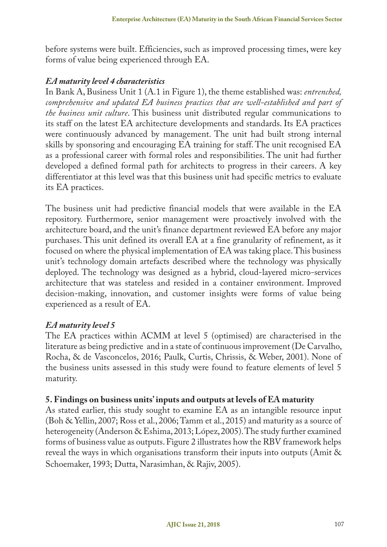before systems were built. Efficiencies, such as improved processing times, were key forms of value being experienced through EA.

#### *EA maturity level 4 characteristics*

In Bank A, Business Unit 1 (A.1 in Figure 1), the theme established was: *entrenched, comprehensive and updated EA business practices that are well-established and part of the business unit culture*. This business unit distributed regular communications to its staff on the latest EA architecture developments and standards. Its EA practices were continuously advanced by management. The unit had built strong internal skills by sponsoring and encouraging EA training for staff. The unit recognised EA as a professional career with formal roles and responsibilities. The unit had further developed a defined formal path for architects to progress in their careers. A key differentiator at this level was that this business unit had specific metrics to evaluate its EA practices.

The business unit had predictive financial models that were available in the EA repository. Furthermore, senior management were proactively involved with the architecture board, and the unit's finance department reviewed EA before any major purchases. This unit defined its overall EA at a fine granularity of refinement, as it focused on where the physical implementation of EA was taking place. This business unit's technology domain artefacts described where the technology was physically deployed. The technology was designed as a hybrid, cloud-layered micro-services architecture that was stateless and resided in a container environment. Improved decision-making, innovation, and customer insights were forms of value being experienced as a result of EA.

## *EA maturity level 5*

The EA practices within ACMM at level 5 (optimised) are characterised in the literature as being predictive and in a state of continuous improvement (De Carvalho, Rocha, & de Vasconcelos, 2016; Paulk, Curtis, Chrissis, & Weber, 2001). None of the business units assessed in this study were found to feature elements of level 5 maturity.

#### **5. Findings on business units' inputs and outputs at levels of EA maturity**

As stated earlier, this study sought to examine EA as an intangible resource input (Boh & Yellin, 2007; Ross et al., 2006; Tamm et al., 2015) and maturity as a source of heterogeneity (Anderson & Eshima, 2013; López, 2005). The study further examined forms of business value as outputs. Figure 2 illustrates how the RBV framework helps reveal the ways in which organisations transform their inputs into outputs (Amit & Schoemaker, 1993; Dutta, Narasimhan, & Rajiv, 2005).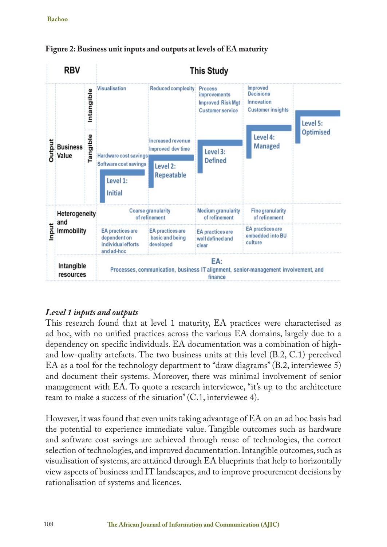



# *Level 1 inputs and outputs*

This research found that at level 1 maturity, EA practices were characterised as ad hoc, with no unified practices across the various EA domains, largely due to a dependency on specific individuals. EA documentation was a combination of highand low-quality artefacts. The two business units at this level (B.2, C.1) perceived EA as a tool for the technology department to "draw diagrams" (B.2, interviewee 5) and document their systems. Moreover, there was minimal involvement of senior management with EA. To quote a research interviewee, "it's up to the architecture team to make a success of the situation" (C.1, interviewee 4).

However, it was found that even units taking advantage of EA on an ad hoc basis had the potential to experience immediate value. Tangible outcomes such as hardware and software cost savings are achieved through reuse of technologies, the correct selection of technologies, and improved documentation. Intangible outcomes, such as visualisation of systems, are attained through EA blueprints that help to horizontally view aspects of business and IT landscapes, and to improve procurement decisions by rationalisation of systems and licences.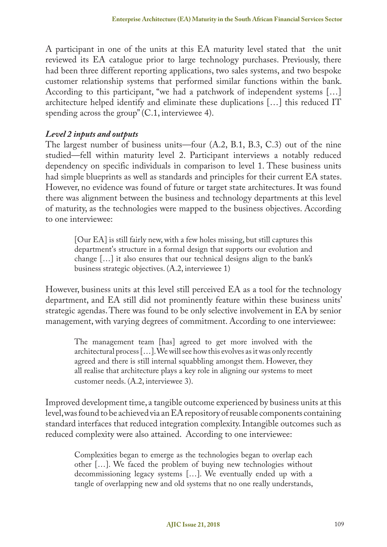A participant in one of the units at this EA maturity level stated that the unit reviewed its EA catalogue prior to large technology purchases. Previously, there had been three different reporting applications, two sales systems, and two bespoke customer relationship systems that performed similar functions within the bank. According to this participant, "we had a patchwork of independent systems […] architecture helped identify and eliminate these duplications […] this reduced IT spending across the group" (C.1, interviewee 4).

## *Level 2 inputs and outputs*

The largest number of business units—four (A.2, B.1, B.3, C.3) out of the nine studied—fell within maturity level 2. Participant interviews a notably reduced dependency on specific individuals in comparison to level 1. These business units had simple blueprints as well as standards and principles for their current EA states. However, no evidence was found of future or target state architectures. It was found there was alignment between the business and technology departments at this level of maturity, as the technologies were mapped to the business objectives. According to one interviewee:

[Our EA] is still fairly new, with a few holes missing, but still captures this department's structure in a formal design that supports our evolution and change […] it also ensures that our technical designs align to the bank's business strategic objectives. (A.2, interviewee 1)

However, business units at this level still perceived EA as a tool for the technology department, and EA still did not prominently feature within these business units' strategic agendas. There was found to be only selective involvement in EA by senior management, with varying degrees of commitment. According to one interviewee:

The management team [has] agreed to get more involved with the architectural process […]. We will see how this evolves as it was only recently agreed and there is still internal squabbling amongst them. However, they all realise that architecture plays a key role in aligning our systems to meet customer needs. (A.2, interviewee 3).

Improved development time, a tangible outcome experienced by business units at this level, was found to be achieved via an EA repository of reusable components containing standard interfaces that reduced integration complexity. Intangible outcomes such as reduced complexity were also attained. According to one interviewee:

Complexities began to emerge as the technologies began to overlap each other […]. We faced the problem of buying new technologies without decommissioning legacy systems […]. We eventually ended up with a tangle of overlapping new and old systems that no one really understands,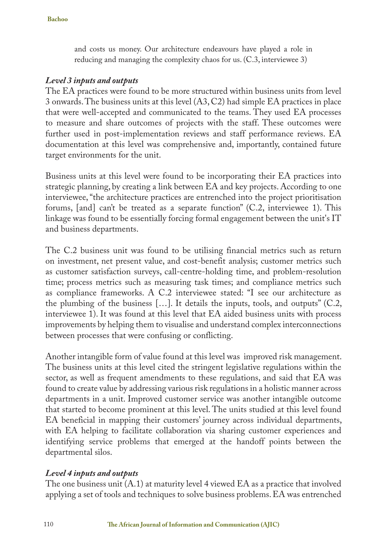and costs us money. Our architecture endeavours have played a role in reducing and managing the complexity chaos for us. (C.3, interviewee 3)

#### *Level 3 inputs and outputs*

The EA practices were found to be more structured within business units from level 3 onwards. The business units at this level (A3, C2) had simple EA practices in place that were well-accepted and communicated to the teams. They used EA processes to measure and share outcomes of projects with the staff. These outcomes were further used in post-implementation reviews and staff performance reviews. EA documentation at this level was comprehensive and, importantly, contained future target environments for the unit.

Business units at this level were found to be incorporating their EA practices into strategic planning, by creating a link between EA and key projects. According to one interviewee, "the architecture practices are entrenched into the project prioritisation forums, [and] can't be treated as a separate function" (C.2, interviewee 1). This linkage was found to be essentially forcing formal engagement between the unit's IT and business departments.

The C.2 business unit was found to be utilising financial metrics such as return on investment, net present value, and cost-benefit analysis; customer metrics such as customer satisfaction surveys, call-centre-holding time, and problem-resolution time; process metrics such as measuring task times; and compliance metrics such as compliance frameworks. A C.2 interviewee stated: "I see our architecture as the plumbing of the business […]. It details the inputs, tools, and outputs" (C.2, interviewee 1). It was found at this level that EA aided business units with process improvements by helping them to visualise and understand complex interconnections between processes that were confusing or conflicting.

Another intangible form of value found at this level was improved risk management. The business units at this level cited the stringent legislative regulations within the sector, as well as frequent amendments to these regulations, and said that EA was found to create value by addressing various risk regulations in a holistic manner across departments in a unit. Improved customer service was another intangible outcome that started to become prominent at this level. The units studied at this level found EA beneficial in mapping their customers' journey across individual departments, with EA helping to facilitate collaboration via sharing customer experiences and identifying service problems that emerged at the handoff points between the departmental silos.

#### *Level 4 inputs and outputs*

The one business unit  $(A.1)$  at maturity level 4 viewed EA as a practice that involved applying a set of tools and techniques to solve business problems. EA was entrenched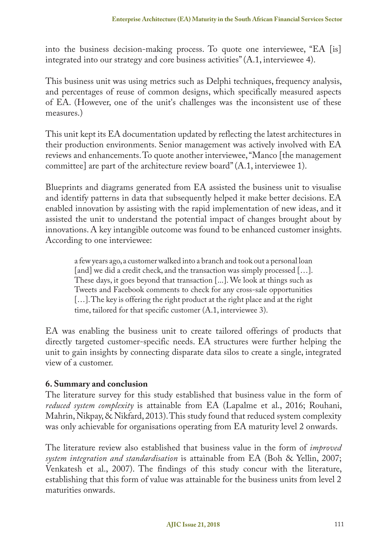into the business decision-making process. To quote one interviewee, "EA [is] integrated into our strategy and core business activities" (A.1, interviewee 4).

This business unit was using metrics such as Delphi techniques, frequency analysis, and percentages of reuse of common designs, which specifically measured aspects of EA. (However, one of the unit's challenges was the inconsistent use of these measures.)

This unit kept its EA documentation updated by reflecting the latest architectures in their production environments. Senior management was actively involved with EA reviews and enhancements. To quote another interviewee, "Manco [the management committee] are part of the architecture review board" (A.1, interviewee 1).

Blueprints and diagrams generated from EA assisted the business unit to visualise and identify patterns in data that subsequently helped it make better decisions. EA enabled innovation by assisting with the rapid implementation of new ideas, and it assisted the unit to understand the potential impact of changes brought about by innovations. A key intangible outcome was found to be enhanced customer insights. According to one interviewee:

a few years ago, a customer walked into a branch and took out a personal loan [and] we did a credit check, and the transaction was simply processed [...]. These days, it goes beyond that transaction [...]. We look at things such as Tweets and Facebook comments to check for any cross-sale opportunities [...]. The key is offering the right product at the right place and at the right time, tailored for that specific customer (A.1, interviewee 3).

EA was enabling the business unit to create tailored offerings of products that directly targeted customer-specific needs. EA structures were further helping the unit to gain insights by connecting disparate data silos to create a single, integrated view of a customer.

## **6. Summary and conclusion**

The literature survey for this study established that business value in the form of *reduced system complexity* is attainable from EA (Lapalme et al., 2016; Rouhani, Mahrin, Nikpay, & Nikfard, 2013). This study found that reduced system complexity was only achievable for organisations operating from EA maturity level 2 onwards.

The literature review also established that business value in the form of *improved system integration and standardisation* is attainable from EA (Boh & Yellin, 2007; Venkatesh et al., 2007). The findings of this study concur with the literature, establishing that this form of value was attainable for the business units from level 2 maturities onwards.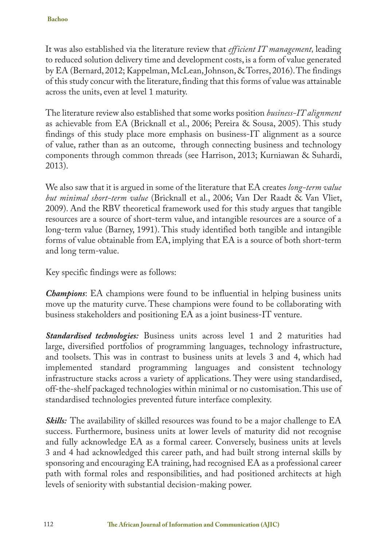It was also established via the literature review that *efficient IT management,* leading to reduced solution delivery time and development costs, is a form of value generated by EA (Bernard, 2012; Kappelman, McLean, Johnson, & Torres, 2016). The findings of this study concur with the literature, finding that this forms of value was attainable across the units, even at level 1 maturity.

The literature review also established that some works position *business-IT alignment* as achievable from EA (Bricknall et al., 2006; Pereira & Sousa, 2005). This study findings of this study place more emphasis on business-IT alignment as a source of value, rather than as an outcome, through connecting business and technology components through common threads (see Harrison, 2013; Kurniawan & Suhardi, 2013).

We also saw that it is argued in some of the literature that EA creates *long-term value but minimal short-term value* (Bricknall et al., 2006; Van Der Raadt & Van Vliet, 2009). And the RBV theoretical framework used for this study argues that tangible resources are a source of short-term value, and intangible resources are a source of a long-term value (Barney, 1991). This study identified both tangible and intangible forms of value obtainable from EA, implying that EA is a source of both short-term and long term-value.

Key specific findings were as follows:

*Champions*: EA champions were found to be influential in helping business units move up the maturity curve. These champions were found to be collaborating with business stakeholders and positioning EA as a joint business-IT venture.

*Standardised technologies:* Business units across level 1 and 2 maturities had large, diversified portfolios of programming languages, technology infrastructure, and toolsets. This was in contrast to business units at levels 3 and 4, which had implemented standard programming languages and consistent technology infrastructure stacks across a variety of applications. They were using standardised, off-the-shelf packaged technologies within minimal or no customisation. This use of standardised technologies prevented future interface complexity.

**Skills:** The availability of skilled resources was found to be a major challenge to EA success. Furthermore, business units at lower levels of maturity did not recognise and fully acknowledge EA as a formal career. Conversely, business units at levels 3 and 4 had acknowledged this career path, and had built strong internal skills by sponsoring and encouraging EA training, had recognised EA as a professional career path with formal roles and responsibilities, and had positioned architects at high levels of seniority with substantial decision-making power.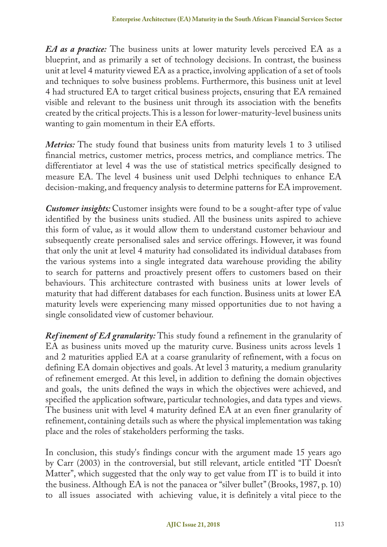*EA as a practice:* The business units at lower maturity levels perceived EA as a blueprint, and as primarily a set of technology decisions. In contrast, the business unit at level 4 maturity viewed EA as a practice, involving application of a set of tools and techniques to solve business problems. Furthermore, this business unit at level 4 had structured EA to target critical business projects, ensuring that EA remained visible and relevant to the business unit through its association with the benefits created by the critical projects. This is a lesson for lower-maturity-level business units wanting to gain momentum in their EA efforts.

*Metrics:* The study found that business units from maturity levels 1 to 3 utilised financial metrics, customer metrics, process metrics, and compliance metrics. The differentiator at level 4 was the use of statistical metrics specifically designed to measure EA. The level 4 business unit used Delphi techniques to enhance EA decision-making, and frequency analysis to determine patterns for EA improvement.

*Customer insights:* Customer insights were found to be a sought-after type of value identified by the business units studied. All the business units aspired to achieve this form of value, as it would allow them to understand customer behaviour and subsequently create personalised sales and service offerings. However, it was found that only the unit at level 4 maturity had consolidated its individual databases from the various systems into a single integrated data warehouse providing the ability to search for patterns and proactively present offers to customers based on their behaviours. This architecture contrasted with business units at lower levels of maturity that had different databases for each function. Business units at lower EA maturity levels were experiencing many missed opportunities due to not having a single consolidated view of customer behaviour.

*Ref inement of EA granularity:* This study found a refinement in the granularity of EA as business units moved up the maturity curve. Business units across levels 1 and 2 maturities applied EA at a coarse granularity of refinement, with a focus on defining EA domain objectives and goals. At level 3 maturity, a medium granularity of refinement emerged. At this level, in addition to defining the domain objectives and goals, the units defined the ways in which the objectives were achieved, and specified the application software, particular technologies, and data types and views. The business unit with level 4 maturity defined EA at an even finer granularity of refinement, containing details such as where the physical implementation was taking place and the roles of stakeholders performing the tasks.

In conclusion, this study's findings concur with the argument made 15 years ago by Carr (2003) in the controversial, but still relevant, article entitled "IT Doesn't Matter", which suggested that the only way to get value from IT is to build it into the business. Although EA is not the panacea or "silver bullet" (Brooks, 1987, p. 10) to all issues associated with achieving value, it is definitely a vital piece to the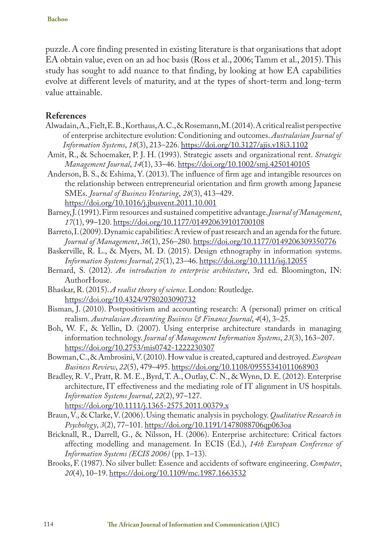puzzle. A core finding presented in existing literature is that organisations that adopt EA obtain value, even on an ad hoc basis (Ross et al., 2006; Tamm et al., 2015). This study has sought to add nuance to that finding, by looking at how EA capabilities evolve at different levels of maturity, and at the types of short-term and long-term value attainable.

#### **References**

- Alwadain, A., Fielt, E. B., Korthaus, A. C., & Rosemann, M. (2014). A critical realist perspective of enterprise architecture evolution: Conditioning and outcomes. *Australasian Journal of Information Systems*, *18*(3), 213–226. https://doi.org/10.3127/ajis.v18i3.1102
- Amit, R., & Schoemaker, P. J. H. (1993). Strategic assets and organizational rent. *Strategic Management Journal*, *14*(1), 33–46. https://doi.org/10.1002/smj.4250140105
- Anderson, B. S., & Eshima, Y. (2013). The influence of firm age and intangible resources on the relationship between entrepreneurial orientation and firm growth among Japanese SMEs. *Journal of Business Venturing*, *28*(3), 413–429. https://doi.org/10.1016/j.jbusvent.2011.10.001
- Barney, J. (1991). Firm resources and sustained competitive advantage. *Journal of Management*, *17*(1), 99–120. https://doi.org/10.1177/014920639101700108
- Barreto, I. (2009). Dynamic capabilities: A review of past research and an agenda for the future. *Journal of Management*, *36*(1), 256–280. https://doi.org/10.1177/0149206309350776
- Baskerville, R. L., & Myers, M. D. (2015). Design ethnography in information systems. *Information Systems Journal*, *25*(1), 23–46. https://doi.org/10.1111/isj.12055
- Bernard, S. (2012). *An introduction to enterprise architecture*, 3rd ed. Bloomington, IN: AuthorHouse.
- Bhaskar, R. (2015). *A realist theory of science*. London: Routledge. https://doi.org/10.4324/9780203090732
- Bisman, J. (2010). Postpositivism and accounting research: A (personal) primer on critical realism. *Australasian Accounting Business & Finance Journal*, *4*(4), 3–25.
- Boh, W. F., & Yellin, D. (2007). Using enterprise architecture standards in managing information technology. *Journal of Management Information Systems*, *23*(3), 163–207. https://doi.org/10.2753/mis0742-1222230307
- Bowman, C., & Ambrosini, V. (2010). How value is created, captured and destroyed. *European Business Review*, *22*(5), 479–495. https://doi.org/10.1108/09555341011068903
- Bradley, R. V., Pratt, R. M. E., Byrd, T. A., Outlay, C. N., & Wynn, D. E. (2012). Enterprise architecture, IT effectiveness and the mediating role of IT alignment in US hospitals. *Information Systems Journal*, *22*(2), 97–127. https://doi.org/10.1111/j.1365-2575.2011.00379.x
- Braun, V., & Clarke, V. (2006). Using thematic analysis in psychology. *Qualitative Research in Psychology*, *3*(2), 77–101. https://doi.org/10.1191/1478088706qp063oa
- Bricknall, R., Darrell, G., & Nilsson, H. (2006). Enterprise architecture: Critical factors affecting modelling and management. In ECIS (Ed.), *14th European Conference of Information Systems (ECIS 2006)* (pp. 1–13).
- Brooks, F. (1987). No silver bullet: Essence and accidents of software engineering. *Computer*, *20*(4), 10–19. https://doi.org/10.1109/mc.1987.1663532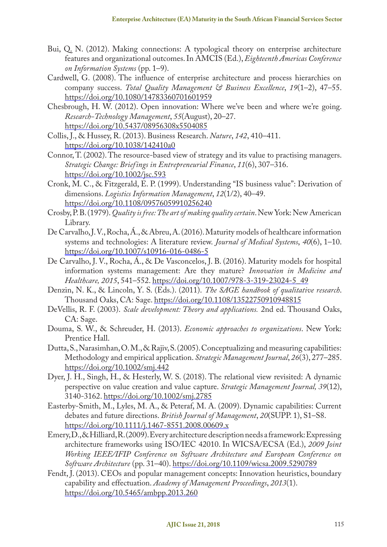- Bui, Q. N. (2012). Making connections: A typological theory on enterprise architecture features and organizational outcomes. In AMCIS (Ed.), *Eighteenth Americas Conference on Information Systems* (pp. 1–9).
- Cardwell, G. (2008). The influence of enterprise architecture and process hierarchies on company success. *Total Quality Management & Business Excellence*, *19*(1–2), 47–55. https://doi.org/10.1080/14783360701601959
- Chesbrough, H. W. (2012). Open innovation: Where we've been and where we're going. *Research-Technology Management*, *55*(August), 20–27. https://doi.org/10.5437/08956308x5504085
- Collis, J., & Hussey, R. (2013). Business Research. *Nature*, *142*, 410–411. https://doi.org/10.1038/142410a0
- Connor, T. (2002). The resource-based view of strategy and its value to practising managers. *Strategic Change: Briefings in Entrepreneurial Finance*, *11*(6), 307–316. https://doi.org/10.1002/jsc.593
- Cronk, M. C., & Fitzgerald, E. P. (1999). Understanding "IS business value": Derivation of dimensions. *Logistics Information Management*, *12*(1/2), 40–49. https://doi.org/10.1108/09576059910256240
- Crosby, P. B. (1979). *Quality is free: The art of making quality certain*. New York: New American Library.
- De Carvalho, J. V., Rocha, Á., & Abreu, A. (2016). Maturity models of healthcare information systems and technologies: A literature review. *Journal of Medical Systems*, *40*(6), 1–10. https://doi.org/10.1007/s10916-016-0486-5
- De Carvalho, J. V., Rocha, Á., & De Vasconcelos, J. B. (2016). Maturity models for hospital information systems management: Are they mature? *Innovation in Medicine and Healthcare, 2015*, 541–552. https://doi.org/10.1007/978-3-319-23024-5\_49
- Denzin, N. K., & Lincoln, Y. S. (Eds.). (2011). *The SAGE handbook of qualitative research*. Thousand Oaks, CA: Sage. https://doi.org/10.1108/13522750910948815
- DeVellis, R. F. (2003). *Scale development: Theory and applications.* 2nd ed. Thousand Oaks, CA: Sage.
- Douma, S. W., & Schreuder, H. (2013). *Economic approaches to organizations*. New York: Prentice Hall.
- Dutta, S., Narasimhan, O.M., & Rajiv, S. (2005). Conceptualizing and measuring capabilities: Methodology and empirical application. *Strategic Management Journal*, *26*(3), 277–285. https://doi.org/10.1002/smj.442
- Dyer, J. H., Singh, H., & Hesterly, W. S. (2018). The relational view revisited: A dynamic perspective on value creation and value capture. *Strategic Management Journal, 39*(12), 3140-3162. https://doi.org/10.1002/smj.2785
- Easterby-Smith, M., Lyles, M. A., & Peteraf, M. A. (2009). Dynamic capabilities: Current debates and future directions. *British Journal of Management*, *20*(SUPP. 1), S1–S8. https://doi.org/10.1111/j.1467-8551.2008.00609.x
- Emery, D., & Hilliard, R. (2009). Every architecture description needs a framework: Expressing architecture frameworks using ISO/IEC 42010. In WICSA/ECSA (Ed.), *2009 Joint Working IEEE/IFIP Conference on Software Architecture and European Conference on Software Architecture* (pp. 31–40). https://doi.org/10.1109/wicsa.2009.5290789
- Fendt, J. (2013). CEOs and popular management concepts: Innovation heuristics, boundary capability and effectuation. *Academy of Management Proceedings*, *2013*(1). https://doi.org/10.5465/ambpp.2013.260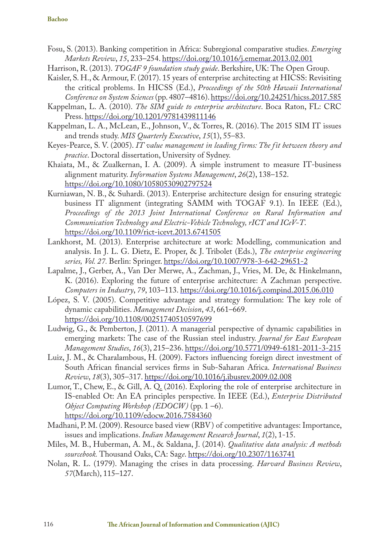#### **Bachoo**

- Fosu, S. (2013). Banking competition in Africa: Subregional comparative studies. *Emerging Markets Review*, *15*, 233–254. https://doi.org/10.1016/j.ememar.2013.02.001
- Harrison, R. (2013). *TOGAF 9 foundation study guide*. Berkshire, UK: The Open Group.
- Kaisler, S. H., & Armour, F. (2017). 15 years of enterprise architecting at HICSS: Revisiting the critical problems. In HICSS (Ed.), *Proceedings of the 50th Hawaii International Conference on System Sciences* (pp. 4807–4816). https://doi.org/10.24251/hicss.2017.585
- Kappelman, L. A. (2010). *The SIM guide to enterprise architecture*. Boca Raton, FL: CRC Press. https://doi.org/10.1201/9781439811146
- Kappelman, L. A., McLean, E., Johnson, V., & Torres, R. (2016). The 2015 SIM IT issues and trends study. *MIS Quarterly Executive*, *15*(1), 55–83.
- Keyes-Pearce, S. V. (2005). *IT value management in leading firms: The fit between theory and practice*. Doctoral dissertation, University of Sydney.
- Khaiata, M., & Zualkernan, I. A. (2009). A simple instrument to measure IT-business alignment maturity. *Information Systems Management*, *26*(2), 138–152. https://doi.org/10.1080/10580530902797524
- Kurniawan, N. B., & Suhardi. (2013). Enterprise architecture design for ensuring strategic business IT alignment (integrating SAMM with TOGAF 9.1). In IEEE (Ed.), *Proceedings of the 2013 Joint International Conference on Rural Information and Communication Technology and Electric-Vehicle Technology, rICT and ICeV-T*. https://doi.org/10.1109/rict-icevt.2013.6741505
- Lankhorst, M. (2013). Enterprise architecture at work: Modelling, communication and analysis. In J. L. G. Dietz, E. Proper, & J. Tribolet (Eds.), *The enterprise engineering series, Vol. 27.* Berlin: Springer. https://doi.org/10.1007/978-3-642-29651-2
- Lapalme, J., Gerber, A., Van Der Merwe, A., Zachman, J., Vries, M. De, & Hinkelmann, K. (2016). Exploring the future of enterprise architecture: A Zachman perspective. *Computers in Industry*, *79*, 103–113. https://doi.org/10.1016/j.compind.2015.06.010
- López, S. V. (2005). Competitive advantage and strategy formulation: The key role of dynamic capabilities. *Management Decision*, *43*, 661–669. https://doi.org/10.1108/00251740510597699
- Ludwig, G., & Pemberton, J. (2011). A managerial perspective of dynamic capabilities in emerging markets: The case of the Russian steel industry. *Journal for East European Management Studies*, *16*(3), 215–236. https://doi.org/10.5771/0949-6181-2011-3-215
- Luiz, J. M., & Charalambous, H. (2009). Factors influencing foreign direct investment of South African financial services firms in Sub-Saharan Africa. *International Business Review*, *18*(3), 305–317. https://doi.org/10.1016/j.ibusrev.2009.02.008
- Lumor, T., Chew, E., & Gill, A. Q. (2016). Exploring the role of enterprise architecture in IS-enabled Ot: An EA principles perspective. In IEEE (Ed.), *Enterprise Distributed Object Computing Workshop (EDOCW)* (pp. 1 –6). https://doi.org/10.1109/edocw.2016.7584360
- Madhani, P. M. (2009). Resource based view (RBV) of competitive advantages: Importance, issues and implications. *Indian Management Research Journal*, *1*(2), 1-15.
- Miles, M. B., Huberman, A. M., & Saldana, J. (2014). *Qualitative data analysis: A methods sourcebook.* Thousand Oaks, CA: Sag*e*. https://doi.org/10.2307/1163741
- Nolan, R. L. (1979). Managing the crises in data processing. *Harvard Business Review*, *57*(March), 115–127.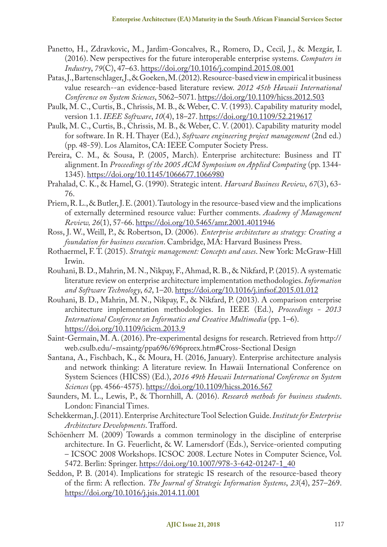- Panetto, H., Zdravkovic, M., Jardim-Goncalves, R., Romero, D., Cecil, J., & Mezgár, I. (2016). New perspectives for the future interoperable enterprise systems. *Computers in Industry*, *79*(C), 47–63. https://doi.org/10.1016/j.compind.2015.08.001
- Patas, J., Bartenschlager, J., & Goeken, M. (2012). Resource-based view in empirical it business value research--an evidence-based literature review. *2012 45th Hawaii International Conference on System Sciences*, 5062–5071. https://doi.org/10.1109/hicss.2012.503
- Paulk, M. C., Curtis, B., Chrissis, M. B., & Weber, C. V. (1993). Capability maturity model, version 1.1. *IEEE Software*, *10*(4), 18–27. https://doi.org/10.1109/52.219617
- Paulk, M. C., Curtis, B., Chrissis, M. B., & Weber, C. V. (2001). Capability maturity model for software. In R. H. Thayer (Ed.), *Software engineering project management* (2nd ed.) (pp. 48-59). Los Alamitos, CA: IEEE Computer Society Press.
- Pereira, C. M., & Sousa, P. (2005, March). Enterprise architecture: Business and IT alignment. In *Proceedings of the 2005 ACM Symposium on Applied Computing* (pp. 1344- 1345). https://doi.org/10.1145/1066677.1066980
- Prahalad, C. K., & Hamel, G. (1990). Strategic intent. *Harvard Business Review*, *67*(3), 63- 76.
- Priem, R. L., & Butler, J. E. (2001). Tautology in the resource-based view and the implications of externally determined resource value: Further comments. *Academy of Management Review, 26*(1), 57-66. https://doi.org/10.5465/amr.2001.4011946
- Ross, J. W., Weill, P., & Robertson, D. (2006). *Enterprise architecture as strategy: Creating a foundation for business execution*. Cambridge, MA: Harvard Business Press.
- Rothaermel, F. T. (2015). *Strategic management: Concepts and cases*. New York: McGraw-Hill Irwin.
- Rouhani, B. D., Mahrin, M. N., Nikpay, F., Ahmad, R. B., & Nikfard, P. (2015). A systematic literature review on enterprise architecture implementation methodologies. *Information and Software Technology*, *62*, 1–20. https://doi.org/10.1016/j.infsof.2015.01.012
- Rouhani, B. D., Mahrin, M. N., Nikpay, F., & Nikfard, P. (2013). A comparison enterprise architecture implementation methodologies. In IEEE (Ed.), *Proceedings - 2013 International Conference on Informatics and Creative Multimedia* (pp. 1–6). https://doi.org/10.1109/icicm.2013.9
- Saint-Germain, M. A. (2016). Pre-experimental designs for research. Retrieved from http:// web.csulb.edu/~msaintg/ppa696/696preex.htm#Cross-Sectional Design
- Santana, A., Fischbach, K., & Moura, H. (2016, January). Enterprise architecture analysis and network thinking: A literature review. In Hawaii International Conference on System Sciences (HICSS) (Ed.), *2016 49th Hawaii International Conference on System Sciences* (pp. 4566-4575). https://doi.org/10.1109/hicss.2016.567
- Saunders, M. L., Lewis, P., & Thornhill, A. (2016). *Research methods for business students*. London: Financial Times.
- Schekkerman, J. (2011). Enterprise Architecture Tool Selection Guide. *Institute for Enterprise Architecture Developments*. Trafford.
- Schöenherr M. (2009) Towards a common terminology in the discipline of enterprise architecture. In G. Feuerlicht, & W. Lamersdorf (Eds.), Service-oriented computing – ICSOC 2008 Workshops. ICSOC 2008. Lecture Notes in Computer Science, Vol. 5472. Berlin: Springer. https://doi.org/10.1007/978-3-642-01247-1\_40
- Seddon, P. B. (2014). Implications for strategic IS research of the resource-based theory of the firm: A reflection. *The Journal of Strategic Information Systems*, *23*(4), 257–269. https://doi.org/10.1016/j.jsis.2014.11.001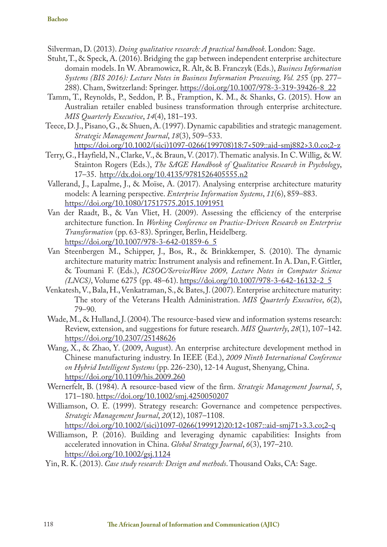Silverman, D. (2013). *Doing qualitative research: A practical handbook*. London: Sage.

- Stuht, T., & Speck, A. (2016). Bridging the gap between independent enterprise architecture domain models. In W. Abramowicz, R. Alt, & B. Franczyk (Eds.), *Business Information Systems (BIS 2016): Lecture Notes in Business Information Processing, Vol. 25*5 (pp. 277– 288). Cham, Switzerland: Springer. https://doi.org/10.1007/978-3-319-39426-8\_22
- Tamm, T., Reynolds, P., Seddon, P. B., Framption, K. M., & Shanks, G. (2015). How an Australian retailer enabled business transformation through enterprise architecture. *MIS Quarterly Executive*, *14*(4), 181–193.
- Teece, D. J., Pisano, G., & Shuen, A. (1997). Dynamic capabilities and strategic management. *Strategic Management Journal*, *18*(3), 509–533. https://doi.org/10.1002/(sici)1097-0266(199708)18:7<509::aid-smj882>3.0.co;2-z
- Terry, G., Hayfield, N., Clarke, V., & Braun, V. (2017). Thematic analysis. In C. Willig, & W. Stainton Rogers (Eds.), *The SAGE Handbook of Qualitative Research in Psychology*, 17–35. http://dx.doi.org/10.4135/9781526405555.n2
- Vallerand, J., Lapalme, J., & Moïse, A. (2017). Analysing enterprise architecture maturity models: A learning perspective. *Enterprise Information Systems*, *11*(6), 859–883. https://doi.org/10.1080/17517575.2015.1091951
- Van der Raadt, B., & Van Vliet, H. (2009). Assessing the efficiency of the enterprise architecture function. In *Working Conference on Practice-Driven Research on Enterprise Transformation* (pp. 63-83). Springer, Berlin, Heidelberg. https://doi.org/10.1007/978-3-642-01859-6\_5
- Van Steenbergen M., Schipper, J., Bos, R., & Brinkkemper, S. (2010). The dynamic architecture maturity matrix: Instrument analysis and refinement. In A. Dan, F. Gittler, & Toumani F. (Eds.), *ICSOC/ServiceWave 2009, Lecture Notes in Computer Science (LNCS)*, Volume 6275 (pp. 48–61). https://doi.org/10.1007/978-3-642-16132-2\_5
- Venkatesh, V., Bala, H., Venkatraman, S., & Bates, J. (2007). Enterprise architecture maturity: The story of the Veterans Health Administration. *MIS Quarterly Executive*, *6*(2), 79–90.
- Wade, M., & Hulland, J. (2004). The resource-based view and information systems research: Review, extension, and suggestions for future research. *MIS Quarterly*, *28*(1), 107–142. https://doi.org/10.2307/25148626
- Wang, X., & Zhao, Y. (2009, August). An enterprise architecture development method in Chinese manufacturing industry. In IEEE (Ed.), *2009 Ninth International Conference on Hybrid Intelligent Systems* (pp. 226-230), 12-14 August, Shenyang, China. https://doi.org/10.1109/his.2009.260
- Wernerfelt, B. (1984). A resource-based view of the firm. *Strategic Management Journal*, *5*, 171–180. https://doi.org/10.1002/smj.4250050207
- Williamson, O. E. (1999). Strategy research: Governance and competence perspectives. *Strategic Management Journal*, *20*(12), 1087–1108. https://doi.org/10.1002/(sici)1097-0266(199912)20:12<1087::aid-smj71>3.3.co;2-q
- Williamson, P. (2016). Building and leveraging dynamic capabilities: Insights from accelerated innovation in China. *Global Strategy Journal*, *6*(3), 197–210. https://doi.org/10.1002/gsj.1124
- Yin, R. K. (2013). *Case study research: Design and methods*. Thousand Oaks, CA: Sage.